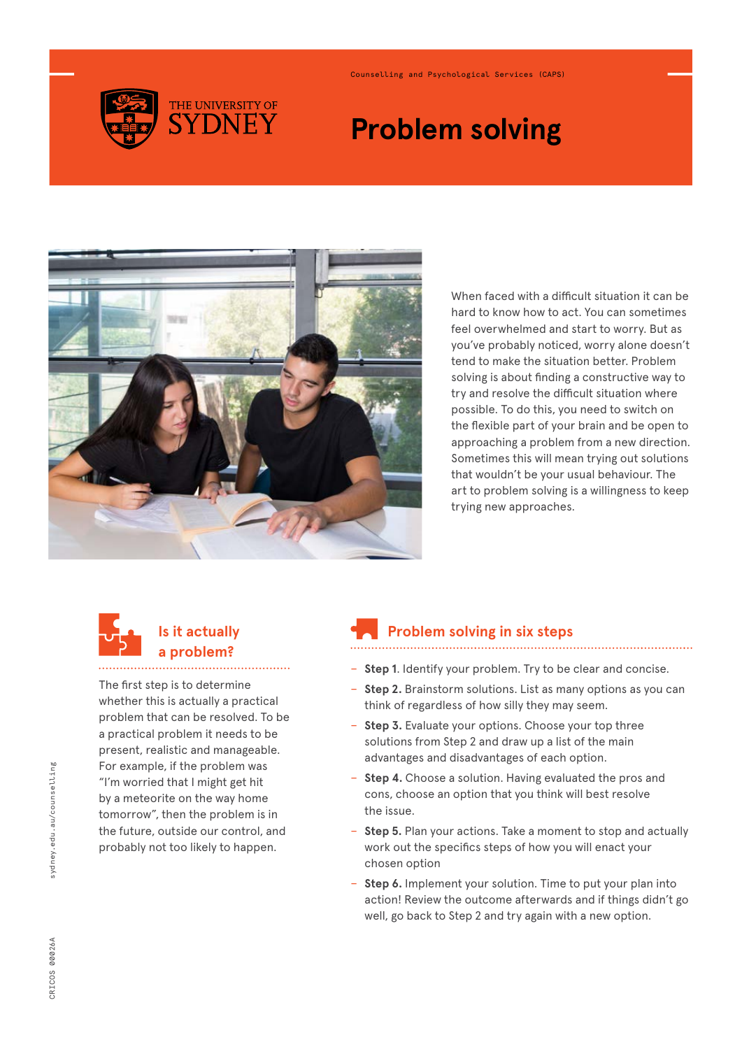

Counselling and Psychological Services (CAPS)

# **Problem solving**



When faced with a difficult situation it can be hard to know how to act. You can sometimes feel overwhelmed and start to worry. But as you've probably noticed, worry alone doesn't tend to make the situation better. Problem solving is about finding a constructive way to try and resolve the difficult situation where possible. To do this, you need to switch on the flexible part of your brain and be open to approaching a problem from a new direction. Sometimes this will mean trying out solutions that wouldn't be your usual behaviour. The art to problem solving is a willingness to keep trying new approaches.

# **Is it actually a problem?**

The first step is to determine whether this is actually a practical problem that can be resolved. To be a practical problem it needs to be present, realistic and manageable. For example, if the problem was "I'm worried that I might get hit by a meteorite on the way home tomorrow", then the problem is in the future, outside our control, and probably not too likely to happen.

## **Problem solving in six steps**

- **Step 1.** Identify your problem. Try to be clear and concise.
- − **Step 2.** Brainstorm solutions. List as many options as you can think of regardless of how silly they may seem.
- − **Step 3.** Evaluate your options. Choose your top three solutions from Step 2 and draw up a list of the main advantages and disadvantages of each option.
- − **Step 4.** Choose a solution. Having evaluated the pros and cons, choose an option that you think will best resolve the issue.
- − **Step 5.** Plan your actions. Take a moment to stop and actually work out the specifics steps of how you will enact your chosen option
- − **Step 6.** Implement your solution. Time to put your plan into action! Review the outcome afterwards and if things didn't go well, go back to Step 2 and try again with a new option.